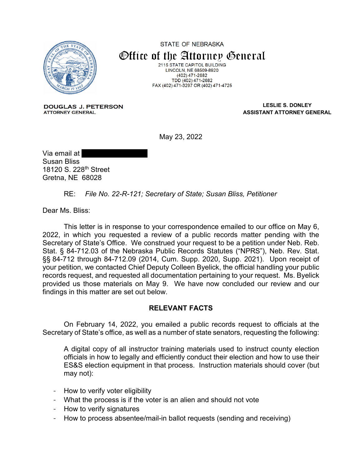

**STATE OF NEBRASKA** Office of the Attorney General 2115 STATE CAPITOL BUILDING **LINCOLN, NE 68509-8920**  $(402)$  471-2682 TDD (402) 471-2682<br>FAX (402) 471-3297 OR (402) 471-4725

**DOUGLAS J. PETERSON ATTORNEY GENERAL** 

**LESLIE S. DONLEY ASSISTANT ATTORNEY GENERAL**

May 23, 2022

Via email at Susan Bliss 18120 S. 228th Street Gretna, NE 68028

RE: *File No. 22-R-121; Secretary of State; Susan Bliss, Petitioner*

Dear Ms. Bliss:

This letter is in response to your correspondence emailed to our office on May 6, 2022, in which you requested a review of a public records matter pending with the Secretary of State's Office. We construed your request to be a petition under Neb. Reb. Stat. § 84-712.03 of the Nebraska Public Records Statutes ("NPRS"), Neb. Rev. Stat. §§ 84-712 through 84-712.09 (2014, Cum. Supp. 2020, Supp. 2021). Upon receipt of your petition, we contacted Chief Deputy Colleen Byelick, the official handling your public records request, and requested all documentation pertaining to your request. Ms. Byelick provided us those materials on May 9. We have now concluded our review and our findings in this matter are set out below.

## **RELEVANT FACTS**

On February 14, 2022, you emailed a public records request to officials at the Secretary of State's office, as well as a number of state senators, requesting the following:

A digital copy of all instructor training materials used to instruct county election officials in how to legally and efficiently conduct their election and how to use their ES&S election equipment in that process. Instruction materials should cover (but may not):

- How to verify voter eligibility
- What the process is if the voter is an alien and should not vote
- How to verify signatures
- How to process absentee/mail-in ballot requests (sending and receiving)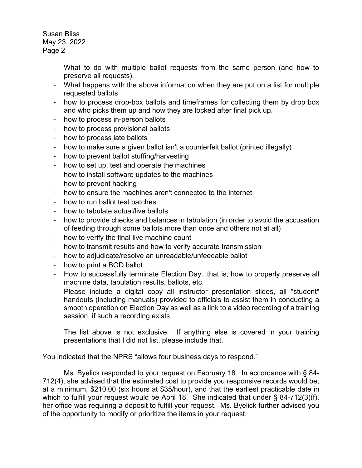- What to do with multiple ballot requests from the same person (and how to preserve all requests).
- What happens with the above information when they are put on a list for multiple requested ballots
- how to process drop-box ballots and timeframes for collecting them by drop box and who picks them up and how they are locked after final pick up.
- how to process in-person ballots
- how to process provisional ballots
- how to process late ballots
- how to make sure a given ballot isn't a counterfeit ballot (printed illegally)
- how to prevent ballot stuffing/harvesting
- how to set up, test and operate the machines
- how to install software updates to the machines
- how to prevent hacking
- how to ensure the machines aren't connected to the internet
- how to run ballot test batches
- how to tabulate actual/live ballots
- how to provide checks and balances in tabulation (in order to avoid the accusation of feeding through some ballots more than once and others not at all)
- how to verify the final live machine count
- how to transmit results and how to verify accurate transmission
- how to adjudicate/resolve an unreadable/unfeedable ballot
- how to print a BOD ballot
- How to successfully terminate Election Day...that is, how to properly preserve all machine data, tabulation results, ballots, etc.
- Please include a digital copy all instructor presentation slides, all "student" handouts (including manuals) provided to officials to assist them in conducting a smooth operation on Election Day as well as a link to a video recording of a training session, if such a recording exists.

The list above is not exclusive. If anything else is covered in your training presentations that I did not list, please include that.

You indicated that the NPRS "allows four business days to respond."

Ms. Byelick responded to your request on February 18. In accordance with § 84- 712(4), she advised that the estimated cost to provide you responsive records would be, at a minimum, \$210.00 (six hours at \$35/hour), and that the earliest practicable date in which to fulfill your request would be April 18. She indicated that under § 84-712(3)(f), her office was requiring a deposit to fulfill your request. Ms. Byelick further advised you of the opportunity to modify or prioritize the items in your request.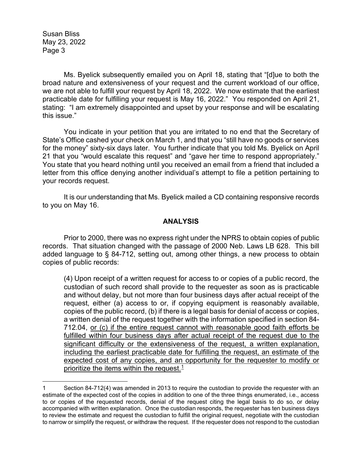Ms. Byelick subsequently emailed you on April 18, stating that "[d]ue to both the broad nature and extensiveness of your request and the current workload of our office, we are not able to fulfill your request by April 18, 2022. We now estimate that the earliest practicable date for fulfilling your request is May 16, 2022." You responded on April 21, stating: "I am extremely disappointed and upset by your response and will be escalating this issue."

You indicate in your petition that you are irritated to no end that the Secretary of State's Office cashed your check on March 1, and that you "still have no goods or services for the money" sixty-six days later. You further indicate that you told Ms. Byelick on April 21 that you "would escalate this request" and "gave her time to respond appropriately." You state that you heard nothing until you received an email from a friend that included a letter from this office denying another individual's attempt to file a petition pertaining to your records request.

It is our understanding that Ms. Byelick mailed a CD containing responsive records to you on May 16.

## **ANALYSIS**

Prior to 2000, there was no express right under the NPRS to obtain copies of public records. That situation changed with the passage of 2000 Neb. Laws LB 628. This bill added language to § 84-712, setting out, among other things, a new process to obtain copies of public records:

(4) Upon receipt of a written request for access to or copies of a public record, the custodian of such record shall provide to the requester as soon as is practicable and without delay, but not more than four business days after actual receipt of the request, either (a) access to or, if copying equipment is reasonably available, copies of the public record, (b) if there is a legal basis for denial of access or copies, a written denial of the request together with the information specified in section 84- 712.04, or (c) if the entire request cannot with reasonable good faith efforts be fulfilled within four business days after actual receipt of the request due to the significant difficulty or the extensiveness of the request, a written explanation, including the earliest practicable date for fulfilling the request, an estimate of the expected cost of any copies, and an opportunity for the requester to modify or prioritize the items within the request. $1$ 

<span id="page-2-0"></span><sup>1</sup> Section 84-712(4) was amended in 2013 to require the custodian to provide the requester with an estimate of the expected cost of the copies in addition to one of the three things enumerated, i.e., access to or copies of the requested records, denial of the request citing the legal basis to do so, or delay accompanied with written explanation. Once the custodian responds, the requester has ten business days to review the estimate and request the custodian to fulfill the original request, negotiate with the custodian to narrow or simplify the request, or withdraw the request. If the requester does not respond to the custodian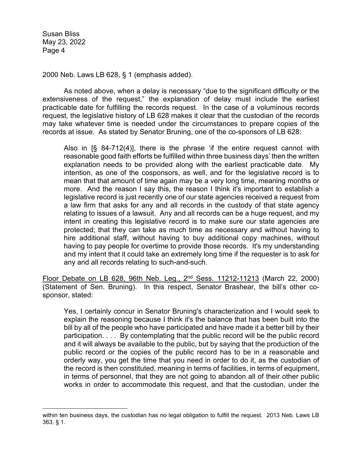2000 Neb. Laws LB 628, § 1 (emphasis added).

As noted above, when a delay is necessary "due to the significant difficulty or the extensiveness of the request," the explanation of delay must include the earliest practicable date for fulfilling the records request. In the case of a voluminous records request, the legislative history of LB 628 makes it clear that the custodian of the records may take whatever time is needed under the circumstances to prepare copies of the records at issue. As stated by Senator Bruning, one of the co-sponsors of LB 628:

Also in [§ 84-712(4)], there is the phrase 'if the entire request cannot with reasonable good faith efforts be fulfilled within three business days' then the written explanation needs to be provided along with the earliest practicable date. My intention, as one of the cosponsors, as well, and for the legislative record is to mean that that amount of time again may be a very long time, meaning months or more. And the reason I say this, the reason I think it's important to establish a legislative record is just recently one of our state agencies received a request from a law firm that asks for any and all records in the custody of that state agency relating to issues of a lawsuit. Any and all records can be a huge request, and my intent in creating this legislative record is to make sure our state agencies are protected; that they can take as much time as necessary and without having to hire additional staff, without having to buy additional copy machines, without having to pay people for overtime to provide those records. It's my understanding and my intent that it could take an extremely long time if the requester is to ask for any and all records relating to such-and-such.

Floor Debate on LB 628, 96th Neb. Leg., 2nd Sess. 11212-11213 (March 22, 2000) (Statement of Sen. Bruning). In this respect, Senator Brashear, the bill's other cosponsor, stated:

Yes, I certainly concur in Senator Bruning's characterization and I would seek to explain the reasoning because I think it's the balance that has been built into the bill by all of the people who have participated and have made it a better bill by their participation. . . . By contemplating that the public record will be the public record and it will always be available to the public, but by saying that the production of the public record or the copies of the public record has to be in a reasonable and orderly way, you get the time that you need in order to do it, as the custodian of the record is then constituted, meaning in terms of facilities, in terms of equipment, in terms of personnel, that they are not going to abandon all of their other public works in order to accommodate this request, and that the custodian, under the

within ten business days, the custodian has no legal obligation to fulfill the request. 2013 Neb. Laws LB 363, § 1.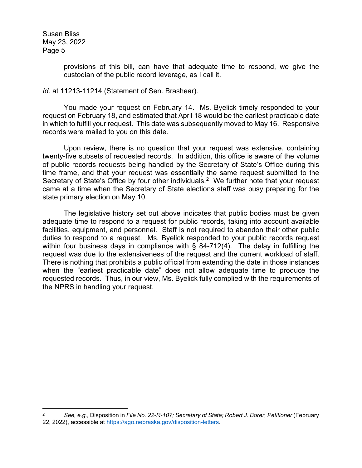> provisions of this bill, can have that adequate time to respond, we give the custodian of the public record leverage, as I call it.

## *Id.* at 11213-11214 (Statement of Sen. Brashear).

You made your request on February 14. Ms. Byelick timely responded to your request on February 18, and estimated that April 18 would be the earliest practicable date in which to fulfill your request. This date was subsequently moved to May 16. Responsive records were mailed to you on this date.

Upon review, there is no question that your request was extensive, containing twenty-five subsets of requested records. In addition, this office is aware of the volume of public records requests being handled by the Secretary of State's Office during this time frame, and that your request was essentially the same request submitted to the Secretary of State's Office by four other individuals.<sup>[2](#page-4-0)</sup> We further note that your request came at a time when the Secretary of State elections staff was busy preparing for the state primary election on May 10.

The legislative history set out above indicates that public bodies must be given adequate time to respond to a request for public records, taking into account available facilities, equipment, and personnel. Staff is not required to abandon their other public duties to respond to a request. Ms. Byelick responded to your public records request within four business days in compliance with § 84-712(4). The delay in fulfilling the request was due to the extensiveness of the request and the current workload of staff. There is nothing that prohibits a public official from extending the date in those instances when the "earliest practicable date" does not allow adequate time to produce the requested records. Thus, in our view, Ms. Byelick fully complied with the requirements of the NPRS in handling your request.

<span id="page-4-0"></span><sup>2</sup> *See, e.g.,* Disposition in *File No. 22-R-107; Secretary of State; Robert J. Borer, Petitioner* (February 22, 2022), accessible at [https://ago.nebraska.gov/disposition-letters.](https://ago.nebraska.gov/disposition-letters)